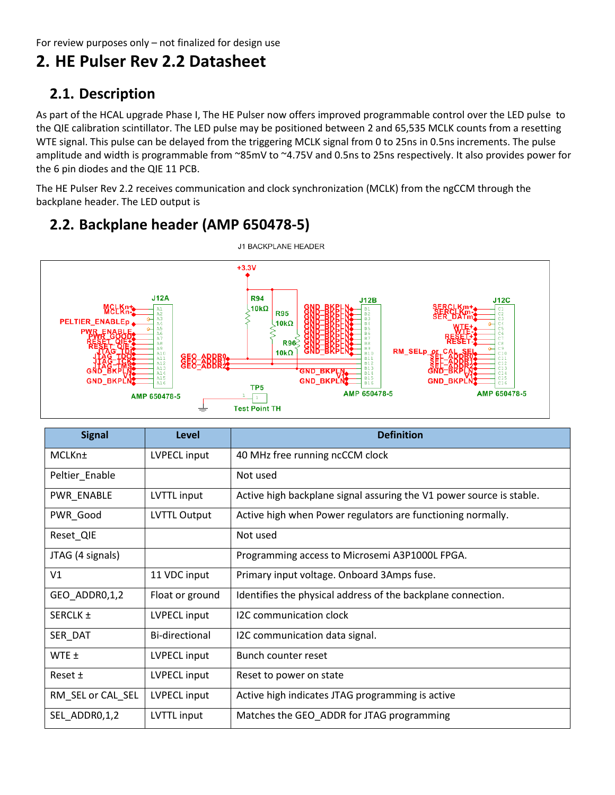For review purposes only – not finalized for design use

# **2. HE Pulser Rev 2.2 Datasheet**

## **2.1. Description**

As part of the HCAL upgrade Phase I, The HE Pulser now offers improved programmable control over the LED pulse to the QIE calibration scintillator. The LED pulse may be positioned between 2 and 65,535 MCLK counts from a resetting WTE signal. This pulse can be delayed from the triggering MCLK signal from 0 to 25ns in 0.5ns increments. The pulse amplitude and width is programmable from ~85mV to ~4.75V and 0.5ns to 25ns respectively. It also provides power for the 6 pin diodes and the QIE 11 PCB.

The HE Pulser Rev 2.2 receives communication and clock synchronization (MCLK) from the ngCCM through the backplane header. The LED output is

## **2.2. Backplane header (AMP 650478-5)**



| <b>Signal</b>             | Level               | <b>Definition</b>                                                    |
|---------------------------|---------------------|----------------------------------------------------------------------|
| <b>MCLKn</b> <sup>±</sup> | LVPECL input        | 40 MHz free running ncCCM clock                                      |
| Peltier_Enable            |                     | Not used                                                             |
| PWR_ENABLE                | LVTTL input         | Active high backplane signal assuring the V1 power source is stable. |
| PWR_Good                  | <b>LVTTL Output</b> | Active high when Power regulators are functioning normally.          |
| Reset_QIE                 |                     | Not used                                                             |
| JTAG (4 signals)          |                     | Programming access to Microsemi A3P1000L FPGA.                       |
| V <sub>1</sub>            | 11 VDC input        | Primary input voltage. Onboard 3Amps fuse.                           |
| GEO_ADDR0,1,2             | Float or ground     | Identifies the physical address of the backplane connection.         |
| SERCLK ±                  | LVPECL input        | 12C communication clock                                              |
| SER_DAT                   | Bi-directional      | I2C communication data signal.                                       |
| $WTE \pm$                 | LVPECL input        | Bunch counter reset                                                  |
| Reset ±                   | LVPECL input        | Reset to power on state                                              |
| RM_SEL or CAL_SEL         | LVPECL input        | Active high indicates JTAG programming is active                     |
| SEL_ADDR0,1,2             | LVTTL input         | Matches the GEO_ADDR for JTAG programming                            |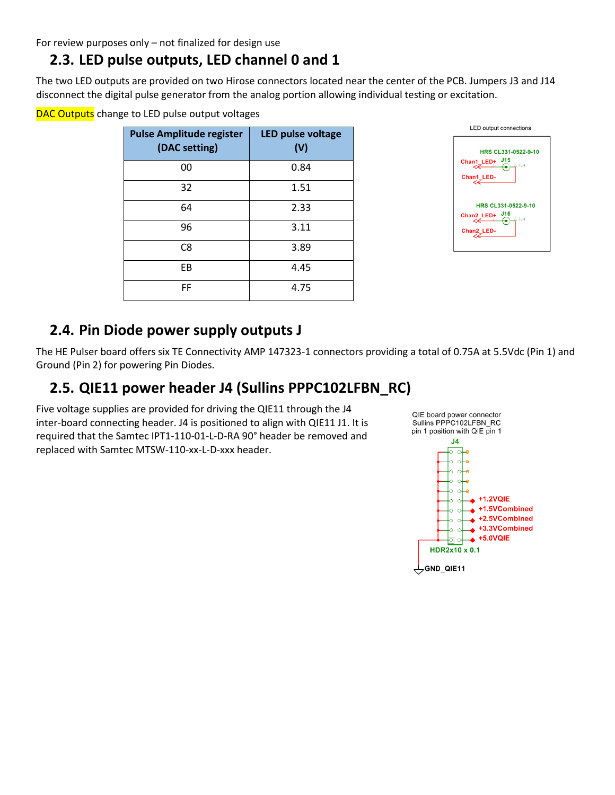For review purposes only – not finalized for design use

#### **2.3. LED pulse outputs, LED channel 0 and 1**

The two LED outputs are provided on two Hirose connectors located near the center of the PCB. Jumpers J3 and J14 disconnect the digital pulse generator from the analog portion allowing individual testing or excitation.

DAC Outputs change to LED pulse output voltages

| <b>Pulse Amplitude register</b><br>(DAC setting) | LED pulse voltage<br>(V) |  |
|--------------------------------------------------|--------------------------|--|
| 00                                               | 0.84                     |  |
| 32                                               | 1.51                     |  |
| 64                                               | 2.33                     |  |
| 96                                               | 3.11                     |  |
| C8                                               | 3.89                     |  |
| FB                                               | 4.45                     |  |
| FF                                               | 4.75                     |  |



### **2.4. Pin Diode power supply outputs J**

The HE Pulser board offers six TE Connectivity AMP 147323-1 connectors providing a total of 0.75A at 5.5Vdc (Pin 1) and Ground (Pin 2) for powering Pin Diodes.

## **2.5. QIE11 power header J4 (Sullins PPPC102LFBN\_RC)**

Five voltage supplies are provided for driving the QIE11 through the J4 inter-board connecting header. J4 is positioned to align with QIE11 J1. It is required that the Samtec IPT1-110-01-L-D-RA 90° header be removed and replaced with Samtec MTSW-110-xx-L-D-xxx header.